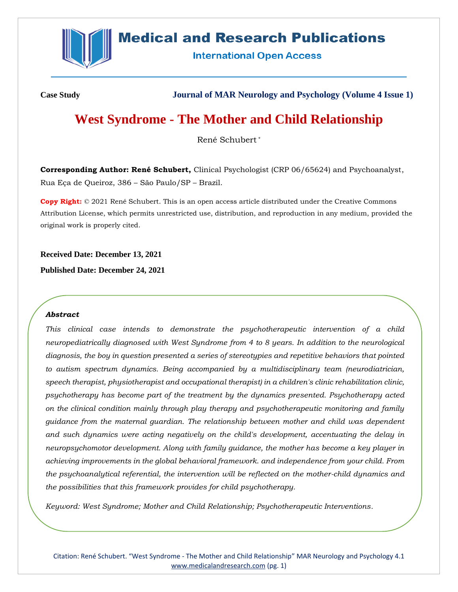

# **Medical and Research Publications**

**International Open Access** 

**Case Study Journal of MAR Neurology and Psychology (Volume 4 Issue 1)**

# **West Syndrome - The Mother and Child Relationship**

René Schubert \*

**Corresponding Author: René Schubert,** Clinical Psychologist (CRP 06/65624) and Psychoanalyst, Rua Eça de Queiroz, 386 – São Paulo/SP – Brazil.

**Copy Right:** © 2021 René Schubert. This is an open access article distributed under the Creative Commons Attribution License, which permits unrestricted use, distribution, and reproduction in any medium, provided the original work is properly cited.

**Received Date: December 13, 2021**

**Published Date: December 24, 2021**

### *Abstract*

*This clinical case intends to demonstrate the psychotherapeutic intervention of a child neuropediatrically diagnosed with West Syndrome from 4 to 8 years. In addition to the neurological diagnosis, the boy in question presented a series of stereotypies and repetitive behaviors that pointed to autism spectrum dynamics. Being accompanied by a multidisciplinary team (neurodiatrician, speech therapist, physiotherapist and occupational therapist) in a children's clinic rehabilitation clinic, psychotherapy has become part of the treatment by the dynamics presented. Psychotherapy acted on the clinical condition mainly through play therapy and psychotherapeutic monitoring and family guidance from the maternal guardian. The relationship between mother and child was dependent and such dynamics were acting negatively on the child's development, accentuating the delay in neuropsychomotor development. Along with family guidance, the mother has become a key player in achieving improvements in the global behavioral framework. and independence from your child. From the psychoanalytical referential, the intervention will be reflected on the mother-child dynamics and the possibilities that this framework provides for child psychotherapy.*

*Keyword: West Syndrome; Mother and Child Relationship; Psychotherapeutic Interventions.*

Citation: René Schubert. "West Syndrome - The Mother and Child Relationship" MAR Neurology and Psychology 4.1 [www.medicalandresearch.com](http://www.medicalandresearch.com/) (pg. 1)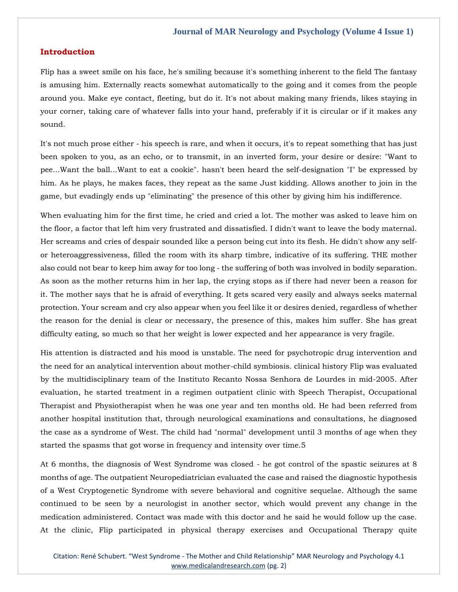## **Introduction**

Flip has a sweet smile on his face, he's smiling because it's something inherent to the field The fantasy is amusing him. Externally reacts somewhat automatically to the going and it comes from the people around you. Make eye contact, fleeting, but do it. It's not about making many friends, likes staying in your corner, taking care of whatever falls into your hand, preferably if it is circular or if it makes any sound.

It's not much prose either - his speech is rare, and when it occurs, it's to repeat something that has just been spoken to you, as an echo, or to transmit, in an inverted form, your desire or desire: "Want to pee...Want the ball...Want to eat a cookie". hasn't been heard the self-designation "I" be expressed by him. As he plays, he makes faces, they repeat as the same Just kidding. Allows another to join in the game, but evadingly ends up "eliminating" the presence of this other by giving him his indifference.

When evaluating him for the first time, he cried and cried a lot. The mother was asked to leave him on the floor, a factor that left him very frustrated and dissatisfied. I didn't want to leave the body maternal. Her screams and cries of despair sounded like a person being cut into its flesh. He didn't show any selfor heteroaggressiveness, filled the room with its sharp timbre, indicative of its suffering. THE mother also could not bear to keep him away for too long - the suffering of both was involved in bodily separation. As soon as the mother returns him in her lap, the crying stops as if there had never been a reason for it. The mother says that he is afraid of everything. It gets scared very easily and always seeks maternal protection. Your scream and cry also appear when you feel like it or desires denied, regardless of whether the reason for the denial is clear or necessary, the presence of this, makes him suffer. She has great difficulty eating, so much so that her weight is lower expected and her appearance is very fragile.

His attention is distracted and his mood is unstable. The need for psychotropic drug intervention and the need for an analytical intervention about mother-child symbiosis. clinical history Flip was evaluated by the multidisciplinary team of the Instituto Recanto Nossa Senhora de Lourdes in mid-2005. After evaluation, he started treatment in a regimen outpatient clinic with Speech Therapist, Occupational Therapist and Physiotherapist when he was one year and ten months old. He had been referred from another hospital institution that, through neurological examinations and consultations, he diagnosed the case as a syndrome of West. The child had "normal" development until 3 months of age when they started the spasms that got worse in frequency and intensity over time.5

At 6 months, the diagnosis of West Syndrome was closed - he got control of the spastic seizures at 8 months of age. The outpatient Neuropediatrician evaluated the case and raised the diagnostic hypothesis of a West Cryptogenetic Syndrome with severe behavioral and cognitive sequelae. Although the same continued to be seen by a neurologist in another sector, which would prevent any change in the medication administered. Contact was made with this doctor and he said he would follow up the case. At the clinic, Flip participated in physical therapy exercises and Occupational Therapy quite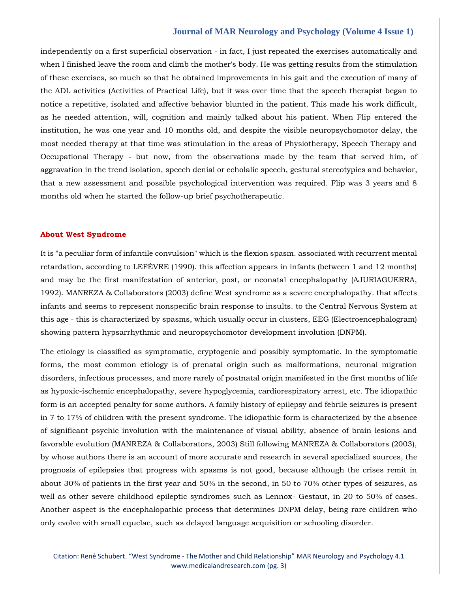independently on a first superficial observation - in fact, I just repeated the exercises automatically and when I finished leave the room and climb the mother's body. He was getting results from the stimulation of these exercises, so much so that he obtained improvements in his gait and the execution of many of the ADL activities (Activities of Practical Life), but it was over time that the speech therapist began to notice a repetitive, isolated and affective behavior blunted in the patient. This made his work difficult, as he needed attention, will, cognition and mainly talked about his patient. When Flip entered the institution, he was one year and 10 months old, and despite the visible neuropsychomotor delay, the most needed therapy at that time was stimulation in the areas of Physiotherapy, Speech Therapy and Occupational Therapy - but now, from the observations made by the team that served him, of aggravation in the trend isolation, speech denial or echolalic speech, gestural stereotypies and behavior, that a new assessment and possible psychological intervention was required. Flip was 3 years and 8 months old when he started the follow-up brief psychotherapeutic.

#### **About West Syndrome**

It is "a peculiar form of infantile convulsion" which is the flexion spasm. associated with recurrent mental retardation, according to LEFÈVRE (1990). this affection appears in infants (between 1 and 12 months) and may be the first manifestation of anterior, post, or neonatal encephalopathy (AJURIAGUERRA, 1992). MANREZA & Collaborators (2003) define West syndrome as a severe encephalopathy. that affects infants and seems to represent nonspecific brain response to insults. to the Central Nervous System at this age - this is characterized by spasms, which usually occur in clusters, EEG (Electroencephalogram) showing pattern hypsarrhythmic and neuropsychomotor development involution (DNPM).

The etiology is classified as symptomatic, cryptogenic and possibly symptomatic. In the symptomatic forms, the most common etiology is of prenatal origin such as malformations, neuronal migration disorders, infectious processes, and more rarely of postnatal origin manifested in the first months of life as hypoxic-ischemic encephalopathy, severe hypoglycemia, cardiorespiratory arrest, etc. The idiopathic form is an accepted penalty for some authors. A family history of epilepsy and febrile seizures is present in 7 to 17% of children with the present syndrome. The idiopathic form is characterized by the absence of significant psychic involution with the maintenance of visual ability, absence of brain lesions and favorable evolution (MANREZA & Collaborators, 2003) Still following MANREZA & Collaborators (2003), by whose authors there is an account of more accurate and research in several specialized sources, the prognosis of epilepsies that progress with spasms is not good, because although the crises remit in about 30% of patients in the first year and 50% in the second, in 50 to 70% other types of seizures, as well as other severe childhood epileptic syndromes such as Lennox- Gestaut, in 20 to 50% of cases. Another aspect is the encephalopathic process that determines DNPM delay, being rare children who only evolve with small equelae, such as delayed language acquisition or schooling disorder.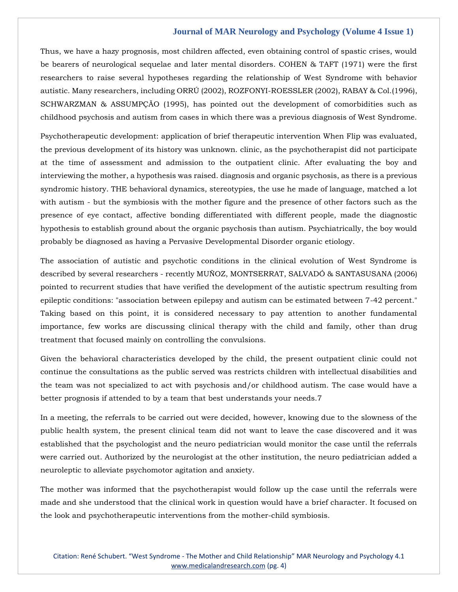Thus, we have a hazy prognosis, most children affected, even obtaining control of spastic crises, would be bearers of neurological sequelae and later mental disorders. COHEN & TAFT (1971) were the first researchers to raise several hypotheses regarding the relationship of West Syndrome with behavior autistic. Many researchers, including ORRÚ (2002), ROZFONYI-ROESSLER (2002), RABAY & Col.(1996), SCHWARZMAN & ASSUMPÇÃO (1995), has pointed out the development of comorbidities such as childhood psychosis and autism from cases in which there was a previous diagnosis of West Syndrome.

Psychotherapeutic development: application of brief therapeutic intervention When Flip was evaluated, the previous development of its history was unknown. clinic, as the psychotherapist did not participate at the time of assessment and admission to the outpatient clinic. After evaluating the boy and interviewing the mother, a hypothesis was raised. diagnosis and organic psychosis, as there is a previous syndromic history. THE behavioral dynamics, stereotypies, the use he made of language, matched a lot with autism - but the symbiosis with the mother figure and the presence of other factors such as the presence of eye contact, affective bonding differentiated with different people, made the diagnostic hypothesis to establish ground about the organic psychosis than autism. Psychiatrically, the boy would probably be diagnosed as having a Pervasive Developmental Disorder organic etiology.

The association of autistic and psychotic conditions in the clinical evolution of West Syndrome is described by several researchers - recently MUÑOZ, MONTSERRAT, SALVADÓ & SANTASUSANA (2006) pointed to recurrent studies that have verified the development of the autistic spectrum resulting from epileptic conditions: "association between epilepsy and autism can be estimated between 7-42 percent." Taking based on this point, it is considered necessary to pay attention to another fundamental importance, few works are discussing clinical therapy with the child and family, other than drug treatment that focused mainly on controlling the convulsions.

Given the behavioral characteristics developed by the child, the present outpatient clinic could not continue the consultations as the public served was restricts children with intellectual disabilities and the team was not specialized to act with psychosis and/or childhood autism. The case would have a better prognosis if attended to by a team that best understands your needs.7

In a meeting, the referrals to be carried out were decided, however, knowing due to the slowness of the public health system, the present clinical team did not want to leave the case discovered and it was established that the psychologist and the neuro pediatrician would monitor the case until the referrals were carried out. Authorized by the neurologist at the other institution, the neuro pediatrician added a neuroleptic to alleviate psychomotor agitation and anxiety.

The mother was informed that the psychotherapist would follow up the case until the referrals were made and she understood that the clinical work in question would have a brief character. It focused on the look and psychotherapeutic interventions from the mother-child symbiosis.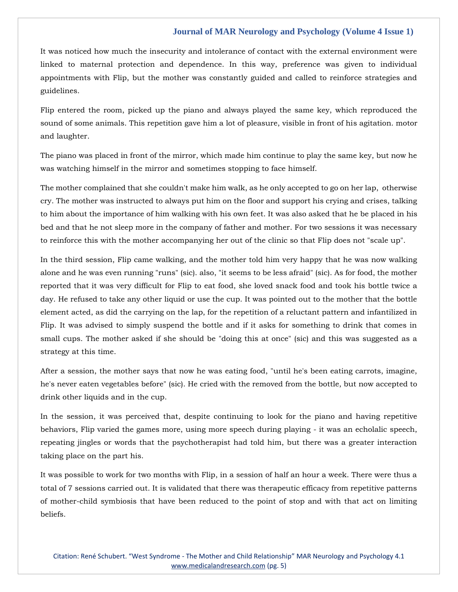It was noticed how much the insecurity and intolerance of contact with the external environment were linked to maternal protection and dependence. In this way, preference was given to individual appointments with Flip, but the mother was constantly guided and called to reinforce strategies and guidelines.

Flip entered the room, picked up the piano and always played the same key, which reproduced the sound of some animals. This repetition gave him a lot of pleasure, visible in front of his agitation. motor and laughter.

The piano was placed in front of the mirror, which made him continue to play the same key, but now he was watching himself in the mirror and sometimes stopping to face himself.

The mother complained that she couldn't make him walk, as he only accepted to go on her lap, otherwise cry. The mother was instructed to always put him on the floor and support his crying and crises, talking to him about the importance of him walking with his own feet. It was also asked that he be placed in his bed and that he not sleep more in the company of father and mother. For two sessions it was necessary to reinforce this with the mother accompanying her out of the clinic so that Flip does not "scale up".

In the third session, Flip came walking, and the mother told him very happy that he was now walking alone and he was even running "runs" (sic). also, "it seems to be less afraid" (sic). As for food, the mother reported that it was very difficult for Flip to eat food, she loved snack food and took his bottle twice a day. He refused to take any other liquid or use the cup. It was pointed out to the mother that the bottle element acted, as did the carrying on the lap, for the repetition of a reluctant pattern and infantilized in Flip. It was advised to simply suspend the bottle and if it asks for something to drink that comes in small cups. The mother asked if she should be "doing this at once" (sic) and this was suggested as a strategy at this time.

After a session, the mother says that now he was eating food, "until he's been eating carrots, imagine, he's never eaten vegetables before" (sic). He cried with the removed from the bottle, but now accepted to drink other liquids and in the cup.

In the session, it was perceived that, despite continuing to look for the piano and having repetitive behaviors, Flip varied the games more, using more speech during playing - it was an echolalic speech, repeating jingles or words that the psychotherapist had told him, but there was a greater interaction taking place on the part his.

It was possible to work for two months with Flip, in a session of half an hour a week. There were thus a total of 7 sessions carried out. It is validated that there was therapeutic efficacy from repetitive patterns of mother-child symbiosis that have been reduced to the point of stop and with that act on limiting beliefs.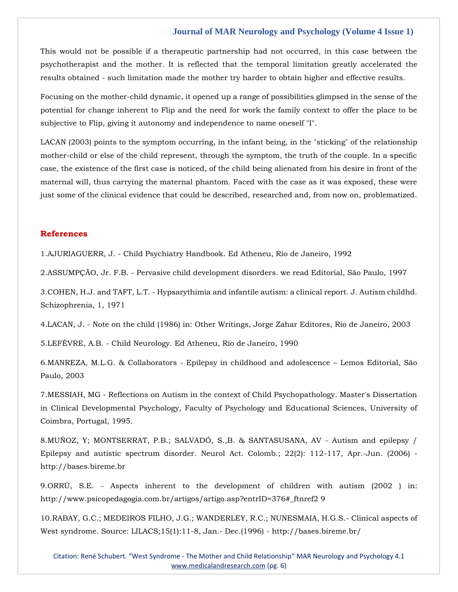This would not be possible if a therapeutic partnership had not occurred, in this case between the psychotherapist and the mother. It is reflected that the temporal limitation greatly accelerated the results obtained - such limitation made the mother try harder to obtain higher and effective results.

Focusing on the mother-child dynamic, it opened up a range of possibilities glimpsed in the sense of the potential for change inherent to Flip and the need for work the family context to offer the place to be subjective to Flip, giving it autonomy and independence to name oneself "I".

LACAN (2003) points to the symptom occurring, in the infant being, in the "sticking" of the relationship mother-child or else of the child represent, through the symptom, the truth of the couple. In a specific case, the existence of the first case is noticed, of the child being alienated from his desire in front of the maternal will, thus carrying the maternal phantom. Faced with the case as it was exposed, these were just some of the clinical evidence that could be described, researched and, from now on, problematized.

# **References**

1.AJURIAGUERR, J. - [Child Psychiatry Handbook. Ed Atheneu, Rio de Janeiro, 1992](https://www.google.com/search?q=AJURIAGUERR%2C+J.+-+Child+Psychiatry+Handbook.+Ed+Atheneu%2C+Rio+de+Janeiro%2C+1992&sxsrf=AOaemvLg61_TTxyWEfInKsTNjajUuh2M1w%3A1639566283348&ei=y8u5YfTJFNmX4-EP0-a-kA8&ved=0ahUKEwi0252v1OX0AhXZyzgGHVOzD_IQ4dUDCA4&uact=5&oq=AJURIAGUERR%2C+J.+-+Child+Psychiatry+Handbook.+Ed+Atheneu%2C+Rio+de+Janeiro%2C+1992&gs_lcp=Cgdnd3Mtd2l6EAM6BwgjEOoCECdKBAhBGABKBAhGGABQowVYowVgtg5oAXACeACAAdQBiAHUAZIBAzItMZgBAKABAaABArABCsABAQ&sclient=gws-wiz)

2.ASSUMPÇÃO, Jr. F.B. - [Pervasive child development disorders. we read Editorial, São Paulo, 1997](https://www.google.com/search?q=Pervasive+child+development+disorders&sxsrf=AOaemvKaDIYdYoDTTvMqGdl6C3N3FvXk2g%3A1639566373552&ei=Jcy5YaX5IMnbz7sP_sudwAQ&ved=0ahUKEwjln5_a1OX0AhXJ7XMBHf5lB0gQ4dUDCA4&uact=5&oq=Pervasive+child+development+disorders&gs_lcp=Cgdnd3Mtd2l6EAMyBQgAEIAEMgYIABAWEB46BwgjEOoCECdKBAhBGABKBAhGGABQ9Q9YwVlgqlxoAnACeACAAb0CiAG9ApIBAzMtMZgBAKABAaABArABCsABAQ&sclient=gws-wiz)

3.COHEN, H.J. and TAFT, L.T. - [Hypsarythimia and infantile autism: a clinical report. J. Autism childhd.](https://www.google.com/search?q=Hypsarythimia+and+infantile+autism%3A+a+clinical+report&sxsrf=AOaemvIJO_MrisxmHo6-6735I0rJUTO3bQ%3A1639566397663&ei=Pcy5YYH-J5_G4-EPqKu3kA0&ved=0ahUKEwjBkN_l1OX0AhUf4zgGHajVDdIQ4dUDCA4&uact=5&oq=Hypsarythimia+and+infantile+autism%3A+a+clinical+report&gs_lcp=Cgdnd3Mtd2l6EAM6BwgjEOoCECdKBAhBGABKBAhGGABQ2gVY2gVg1whoAXACeACAAaECiAGhApIBAzItMZgBAKABAaABArABCsABAQ&sclient=gws-wiz)  [Schizophrenia, 1, 1971](https://www.google.com/search?q=Hypsarythimia+and+infantile+autism%3A+a+clinical+report&sxsrf=AOaemvIJO_MrisxmHo6-6735I0rJUTO3bQ%3A1639566397663&ei=Pcy5YYH-J5_G4-EPqKu3kA0&ved=0ahUKEwjBkN_l1OX0AhUf4zgGHajVDdIQ4dUDCA4&uact=5&oq=Hypsarythimia+and+infantile+autism%3A+a+clinical+report&gs_lcp=Cgdnd3Mtd2l6EAM6BwgjEOoCECdKBAhBGABKBAhGGABQ2gVY2gVg1whoAXACeACAAaECiAGhApIBAzItMZgBAKABAaABArABCsABAQ&sclient=gws-wiz)

4.LACAN, J. - [Note on the child \(1986\) in: Other Writings, Jorge Zahar Editores, Rio de Janeiro, 2003](https://www.google.com/search?q=the+child+%281986%29+in%3A+Other+Writings%2C+Jorge+Zahar+Editores&sxsrf=AOaemvJnUbEEwmFzFog7GWXS92iJccm2iw%3A1639566442504&ei=asy5YaiZHq-Y4-EP5qyuqAQ&ved=0ahUKEwio9o_71OX0AhUvzDgGHWaWC0UQ4dUDCA4&uact=5&oq=the+child+%281986%29+in%3A+Other+Writings%2C+Jorge+Zahar+Editores&gs_lcp=Cgdnd3Mtd2l6EAM6BwgjEOoCECdKBAhBGABKBAhGGABQvAVYvAVg5gdoAXAAeACAAZICiAGSApIBAzItMZgBAKABAaABArABCsABAQ&sclient=gws-wiz)

5.LEFÈVRE, A.B. - [Child Neurology. Ed Atheneu, Rio de Janeiro, 1990](https://www.google.com/search?q=Child+Neurology.+Ed+Atheneu&sxsrf=AOaemvIX3ol0QTHF1-MzR66SvYY8UA6ovg%3A1639566512507&ei=sMy5YeaMHpzXz7sPpuGowAQ&ved=0ahUKEwjmpMCc1eX0AhWc63MBHaYwCkgQ4dUDCA4&uact=5&oq=Child+Neurology.+Ed+Atheneu&gs_lcp=Cgdnd3Mtd2l6EAMyBwghEAoQoAEyBwghEAoQoAE6BwgjEOoCECdKBAhBGABKBAhGGABQxAVYxAVg-gdoAXABeACAAYYCiAGGApIBAzItMZgBAKABAaABArABCsABAQ&sclient=gws-wiz)

6.MANREZA, M.L.G. & Collaborators - [Epilepsy in childhood and adolescence](https://www.google.com/search?q=MANREZA%2C+M.L.G.+%26+Collaborators+-+Epilepsy+in+childhood+and+adolescence+%E2%80%93+Lemos+Editorial%2C+S%C3%A3o+Paulo%2C+2003&sxsrf=AOaemvJx9od4Hj263Gblw1ZT5IudlYfZJA%3A1639566548034&ei=1My5YdfDAZ2a4t4PpfWJyAQ&ved=0ahUKEwjX_bit1eX0AhUdjdgFHaV6AkkQ4dUDCA4&uact=5&oq=MANREZA%2C+M.L.G.+%26+Collaborators+-+Epilepsy+in+childhood+and+adolescence+%E2%80%93+Lemos+Editorial%2C+S%C3%A3o+Paulo%2C+2003&gs_lcp=Cgdnd3Mtd2l6EAMyBwgjEOoCECcyBwgjEOoCECcyBwgjEOoCECcyBwgjEOoCECcyBwgjEOoCECcyBwgjEOoCECcyBwgjEOoCECcyBwgjEOoCECcyBwgjEOoCECcyBwgjEOoCECdKBAhBGABKBAhGGABQiAdYiAdg5gloAXACeACAAQCIAQCSAQCYAQCgAQGgAQKwAQrAAQE&sclient=gws-wiz) – Lemos Editorial, São [Paulo, 2003](https://www.google.com/search?q=MANREZA%2C+M.L.G.+%26+Collaborators+-+Epilepsy+in+childhood+and+adolescence+%E2%80%93+Lemos+Editorial%2C+S%C3%A3o+Paulo%2C+2003&sxsrf=AOaemvJx9od4Hj263Gblw1ZT5IudlYfZJA%3A1639566548034&ei=1My5YdfDAZ2a4t4PpfWJyAQ&ved=0ahUKEwjX_bit1eX0AhUdjdgFHaV6AkkQ4dUDCA4&uact=5&oq=MANREZA%2C+M.L.G.+%26+Collaborators+-+Epilepsy+in+childhood+and+adolescence+%E2%80%93+Lemos+Editorial%2C+S%C3%A3o+Paulo%2C+2003&gs_lcp=Cgdnd3Mtd2l6EAMyBwgjEOoCECcyBwgjEOoCECcyBwgjEOoCECcyBwgjEOoCECcyBwgjEOoCECcyBwgjEOoCECcyBwgjEOoCECcyBwgjEOoCECcyBwgjEOoCECcyBwgjEOoCECdKBAhBGABKBAhGGABQiAdYiAdg5gloAXACeACAAQCIAQCSAQCYAQCgAQGgAQKwAQrAAQE&sclient=gws-wiz)

7.MESSIAH, MG - [Reflections on Autism in the context of Child Psychopathology. Master's Dissertation](https://www.google.com/search?q=Reflections+on+Autism+in+the+context+of+Child+Psychopathology&sxsrf=AOaemvIYxwQRvvtusM6PfQHTlJ6XG6ioHg%3A1639566583521&ei=98y5YfGdH7Laz7sPmMGLwAQ&ved=0ahUKEwix9a6-1eX0AhUy7XMBHZjgAkgQ4dUDCA4&uact=5&oq=Reflections+on+Autism+in+the+context+of+Child+Psychopathology&gs_lcp=Cgdnd3Mtd2l6EAM6BwgjEOoCECdKBAhBGABKBAhGGABQqAdYqAdglQpoAXACeACAAdQBiAHUAZIBAzItMZgBAKABAaABArABCsABAQ&sclient=gws-wiz)  [in Clinical Developmental Psychology, Faculty of Psychology and Educational Sciences, University of](https://www.google.com/search?q=Reflections+on+Autism+in+the+context+of+Child+Psychopathology&sxsrf=AOaemvIYxwQRvvtusM6PfQHTlJ6XG6ioHg%3A1639566583521&ei=98y5YfGdH7Laz7sPmMGLwAQ&ved=0ahUKEwix9a6-1eX0AhUy7XMBHZjgAkgQ4dUDCA4&uact=5&oq=Reflections+on+Autism+in+the+context+of+Child+Psychopathology&gs_lcp=Cgdnd3Mtd2l6EAM6BwgjEOoCECdKBAhBGABKBAhGGABQqAdYqAdglQpoAXACeACAAdQBiAHUAZIBAzItMZgBAKABAaABArABCsABAQ&sclient=gws-wiz)  [Coimbra, Portugal, 1995.](https://www.google.com/search?q=Reflections+on+Autism+in+the+context+of+Child+Psychopathology&sxsrf=AOaemvIYxwQRvvtusM6PfQHTlJ6XG6ioHg%3A1639566583521&ei=98y5YfGdH7Laz7sPmMGLwAQ&ved=0ahUKEwix9a6-1eX0AhUy7XMBHZjgAkgQ4dUDCA4&uact=5&oq=Reflections+on+Autism+in+the+context+of+Child+Psychopathology&gs_lcp=Cgdnd3Mtd2l6EAM6BwgjEOoCECdKBAhBGABKBAhGGABQqAdYqAdglQpoAXACeACAAdQBiAHUAZIBAzItMZgBAKABAaABArABCsABAQ&sclient=gws-wiz)

8.MUÑOZ, Y; MONTSERRAT, P.B.; SALVADÓ, S.,B. & SANTASUSANA, AV - Autism and epilepsy / Epilepsy and autistic spectrum disorder. Neurol Act. Colomb.; 22(2): 112-117, Apr.-Jun. (2006) http://bases.bireme.br

9.ORRÚ, S.E. - Aspects inherent to the development of children with autism (2002 ) in: http://www.psicopedagogia.com.br/artigos/artigo.asp?entrID=376#\_ftnref2 9

10.RABAY, G.C.; MEDEIROS FILHO, J.G.; WANDERLEY, R.C.; NUNESMAIA, H.G.S.- Clinical aspects of West syndrome. Source: LILACS;15(1):11-8, Jan.- Dec.(1996) - http://bases.bireme.br/